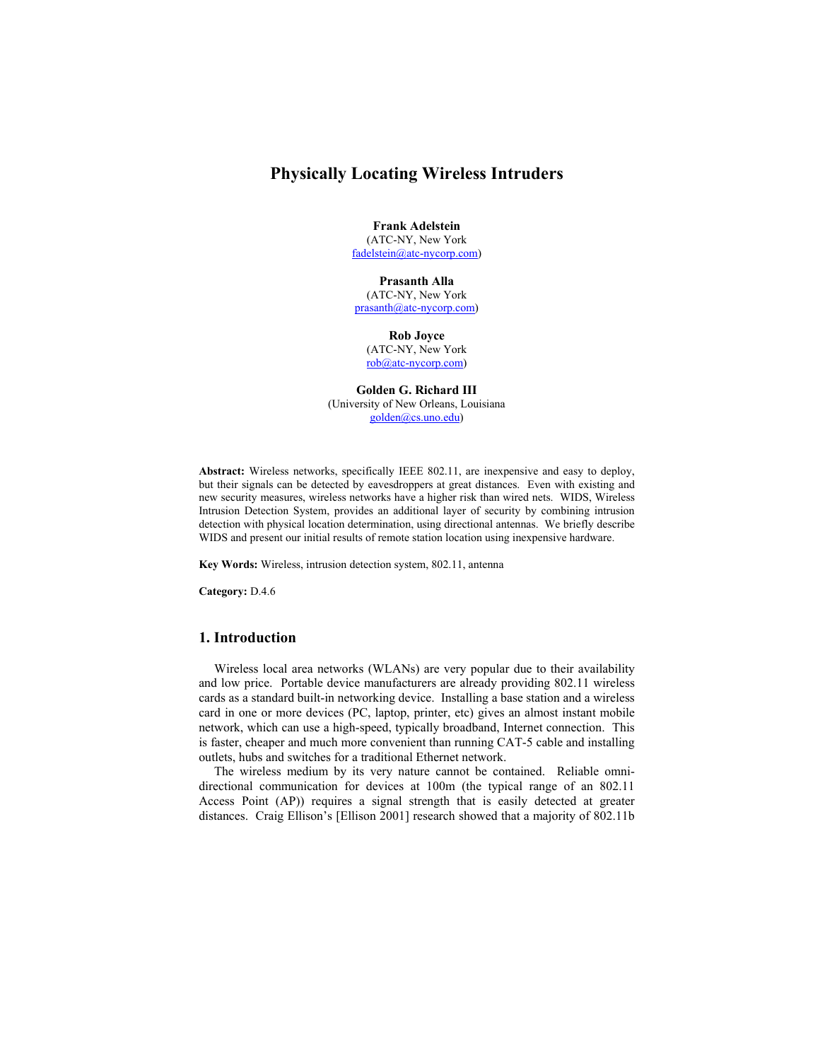# **Physically Locating Wireless Intruders**

**Frank Adelstein**  (ATC-NY, New York fadelstein@atc-nycorp.com)

**Prasanth Alla**  (ATC-NY, New York prasanth@atc-nycorp.com)

**Rob Joyce**  (ATC-NY, New York rob@atc-nycorp.com)

**Golden G. Richard III**  (University of New Orleans, Louisiana golden@cs.uno.edu)

**Abstract:** Wireless networks, specifically IEEE 802.11, are inexpensive and easy to deploy, but their signals can be detected by eavesdroppers at great distances. Even with existing and new security measures, wireless networks have a higher risk than wired nets. WIDS, Wireless Intrusion Detection System, provides an additional layer of security by combining intrusion detection with physical location determination, using directional antennas. We briefly describe WIDS and present our initial results of remote station location using inexpensive hardware.

**Key Words:** Wireless, intrusion detection system, 802.11, antenna

**Category:** D.4.6

# **1. Introduction**

Wireless local area networks (WLANs) are very popular due to their availability and low price. Portable device manufacturers are already providing 802.11 wireless cards as a standard built-in networking device. Installing a base station and a wireless card in one or more devices (PC, laptop, printer, etc) gives an almost instant mobile network, which can use a high-speed, typically broadband, Internet connection. This is faster, cheaper and much more convenient than running CAT-5 cable and installing outlets, hubs and switches for a traditional Ethernet network.

The wireless medium by its very nature cannot be contained. Reliable omnidirectional communication for devices at 100m (the typical range of an 802.11 Access Point (AP)) requires a signal strength that is easily detected at greater distances. Craig Ellison's [Ellison 2001] research showed that a majority of 802.11b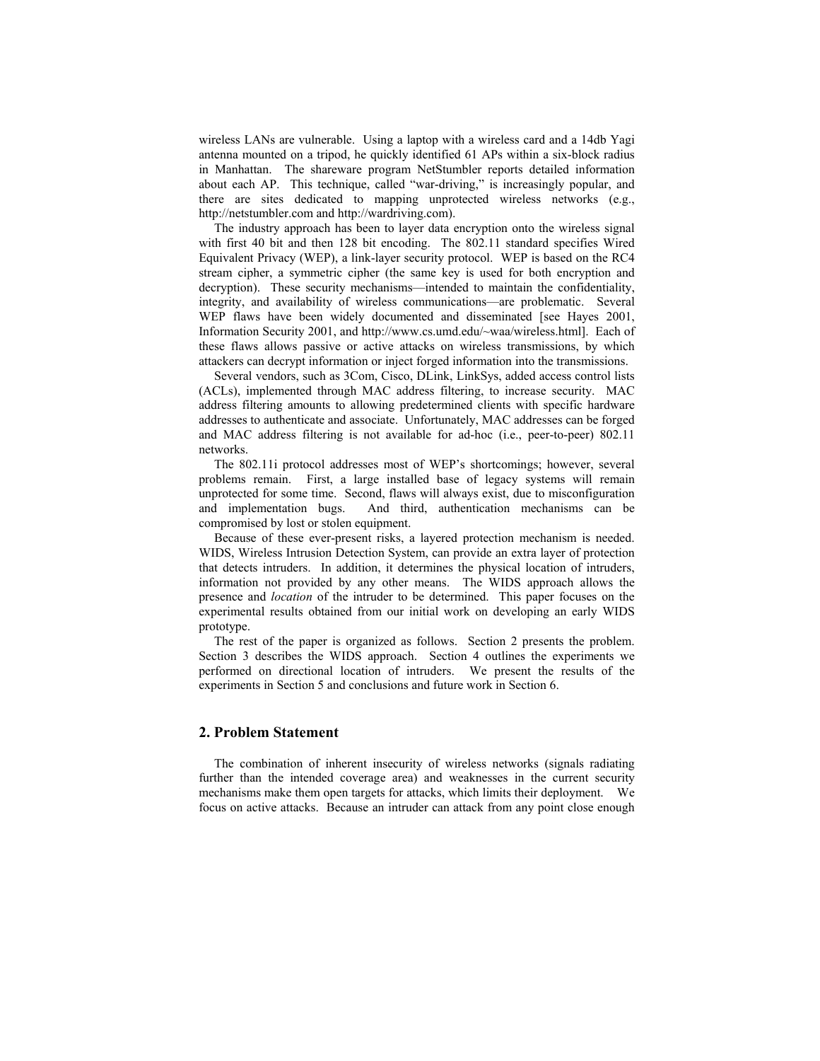wireless LANs are vulnerable. Using a laptop with a wireless card and a 14db Yagi antenna mounted on a tripod, he quickly identified 61 APs within a six-block radius in Manhattan. The shareware program NetStumbler reports detailed information about each AP. This technique, called "war-driving," is increasingly popular, and there are sites dedicated to mapping unprotected wireless networks (e.g., http://netstumbler.com and http://wardriving.com).

The industry approach has been to layer data encryption onto the wireless signal with first 40 bit and then 128 bit encoding. The 802.11 standard specifies Wired Equivalent Privacy (WEP), a link-layer security protocol. WEP is based on the RC4 stream cipher, a symmetric cipher (the same key is used for both encryption and decryption). These security mechanisms—intended to maintain the confidentiality, integrity, and availability of wireless communications—are problematic. Several WEP flaws have been widely documented and disseminated [see Hayes 2001, Information Security 2001, and http://www.cs.umd.edu/~waa/wireless.html]. Each of these flaws allows passive or active attacks on wireless transmissions, by which attackers can decrypt information or inject forged information into the transmissions.

Several vendors, such as 3Com, Cisco, DLink, LinkSys, added access control lists (ACLs), implemented through MAC address filtering, to increase security. MAC address filtering amounts to allowing predetermined clients with specific hardware addresses to authenticate and associate. Unfortunately, MAC addresses can be forged and MAC address filtering is not available for ad-hoc (i.e., peer-to-peer) 802.11 networks.

The 802.11i protocol addresses most of WEP's shortcomings; however, several problems remain. First, a large installed base of legacy systems will remain unprotected for some time. Second, flaws will always exist, due to misconfiguration and implementation bugs. And third, authentication mechanisms can be compromised by lost or stolen equipment.

Because of these ever-present risks, a layered protection mechanism is needed. WIDS, Wireless Intrusion Detection System, can provide an extra layer of protection that detects intruders. In addition, it determines the physical location of intruders, information not provided by any other means. The WIDS approach allows the presence and *location* of the intruder to be determined. This paper focuses on the experimental results obtained from our initial work on developing an early WIDS prototype.

The rest of the paper is organized as follows. Section 2 presents the problem. Section 3 describes the WIDS approach. Section 4 outlines the experiments we performed on directional location of intruders. We present the results of the experiments in Section 5 and conclusions and future work in Section 6.

# **2. Problem Statement**

The combination of inherent insecurity of wireless networks (signals radiating further than the intended coverage area) and weaknesses in the current security mechanisms make them open targets for attacks, which limits their deployment. We focus on active attacks. Because an intruder can attack from any point close enough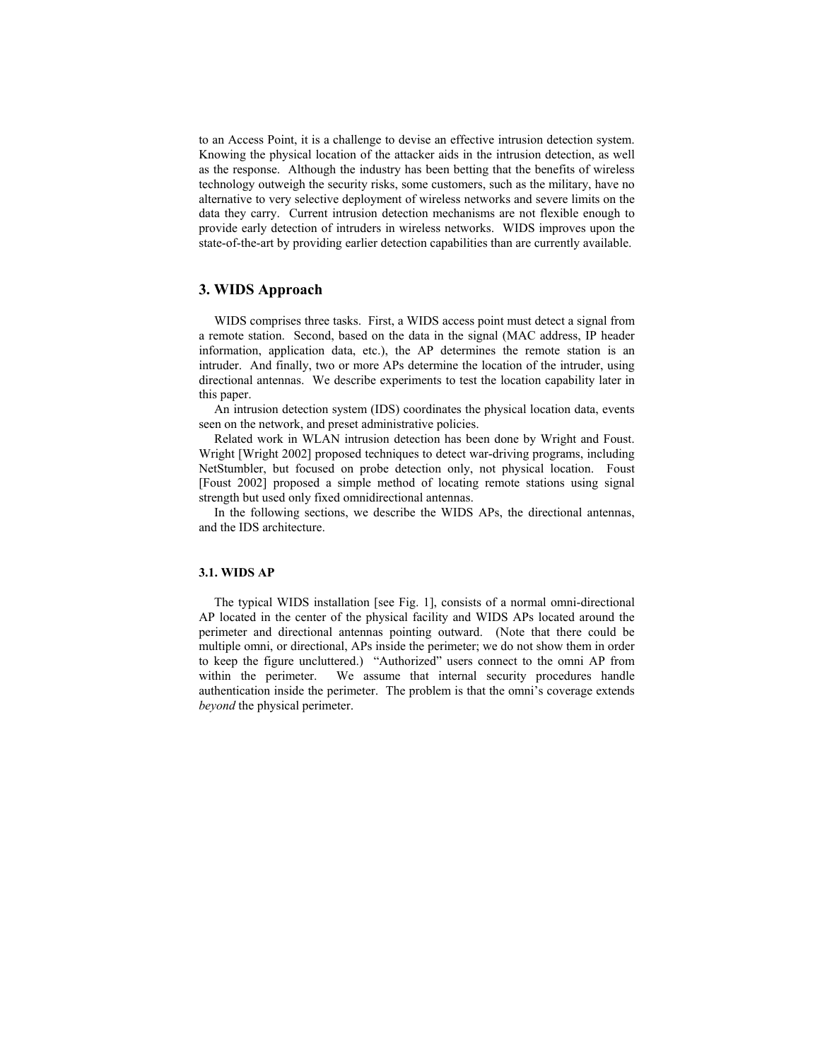to an Access Point, it is a challenge to devise an effective intrusion detection system. Knowing the physical location of the attacker aids in the intrusion detection, as well as the response. Although the industry has been betting that the benefits of wireless technology outweigh the security risks, some customers, such as the military, have no alternative to very selective deployment of wireless networks and severe limits on the data they carry. Current intrusion detection mechanisms are not flexible enough to provide early detection of intruders in wireless networks. WIDS improves upon the state-of-the-art by providing earlier detection capabilities than are currently available.

# **3. WIDS Approach**

WIDS comprises three tasks. First, a WIDS access point must detect a signal from a remote station. Second, based on the data in the signal (MAC address, IP header information, application data, etc.), the AP determines the remote station is an intruder. And finally, two or more APs determine the location of the intruder, using directional antennas. We describe experiments to test the location capability later in this paper.

An intrusion detection system (IDS) coordinates the physical location data, events seen on the network, and preset administrative policies.

Related work in WLAN intrusion detection has been done by Wright and Foust. Wright [Wright 2002] proposed techniques to detect war-driving programs, including NetStumbler, but focused on probe detection only, not physical location. Foust [Foust 2002] proposed a simple method of locating remote stations using signal strength but used only fixed omnidirectional antennas.

In the following sections, we describe the WIDS APs, the directional antennas, and the IDS architecture.

## **3.1. WIDS AP**

The typical WIDS installation [see Fig. 1], consists of a normal omni-directional AP located in the center of the physical facility and WIDS APs located around the perimeter and directional antennas pointing outward. (Note that there could be multiple omni, or directional, APs inside the perimeter; we do not show them in order to keep the figure uncluttered.) "Authorized" users connect to the omni AP from within the perimeter. We assume that internal security procedures handle authentication inside the perimeter. The problem is that the omni's coverage extends *beyond* the physical perimeter.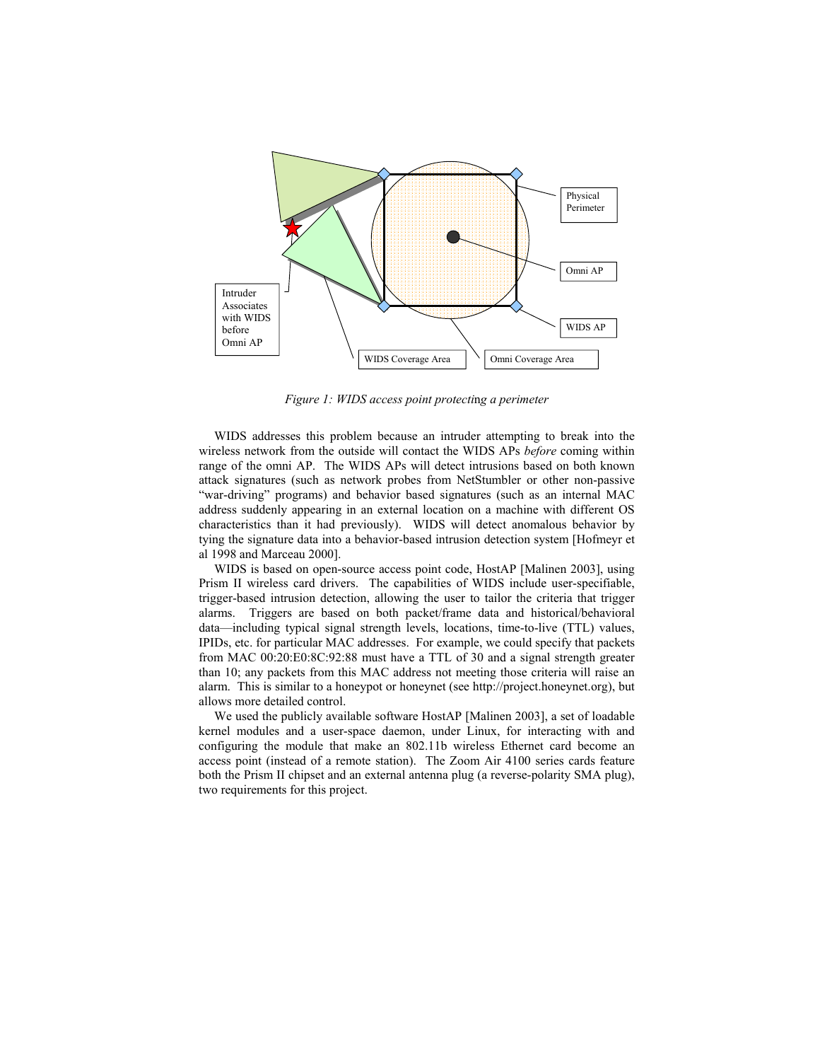

*Figure 1: WIDS access point protecti*n*g a perimeter* 

WIDS addresses this problem because an intruder attempting to break into the wireless network from the outside will contact the WIDS APs *before* coming within range of the omni AP. The WIDS APs will detect intrusions based on both known attack signatures (such as network probes from NetStumbler or other non-passive "war-driving" programs) and behavior based signatures (such as an internal MAC address suddenly appearing in an external location on a machine with different OS characteristics than it had previously). WIDS will detect anomalous behavior by tying the signature data into a behavior-based intrusion detection system [Hofmeyr et al 1998 and Marceau 2000].

WIDS is based on open-source access point code, HostAP [Malinen 2003], using Prism II wireless card drivers. The capabilities of WIDS include user-specifiable, trigger-based intrusion detection, allowing the user to tailor the criteria that trigger alarms. Triggers are based on both packet/frame data and historical/behavioral data—including typical signal strength levels, locations, time-to-live (TTL) values, IPIDs, etc. for particular MAC addresses. For example, we could specify that packets from MAC 00:20:E0:8C:92:88 must have a TTL of 30 and a signal strength greater than 10; any packets from this MAC address not meeting those criteria will raise an alarm. This is similar to a honeypot or honeynet (see http://project.honeynet.org), but allows more detailed control.

We used the publicly available software HostAP [Malinen 2003], a set of loadable kernel modules and a user-space daemon, under Linux, for interacting with and configuring the module that make an 802.11b wireless Ethernet card become an access point (instead of a remote station). The Zoom Air 4100 series cards feature both the Prism II chipset and an external antenna plug (a reverse-polarity SMA plug), two requirements for this project.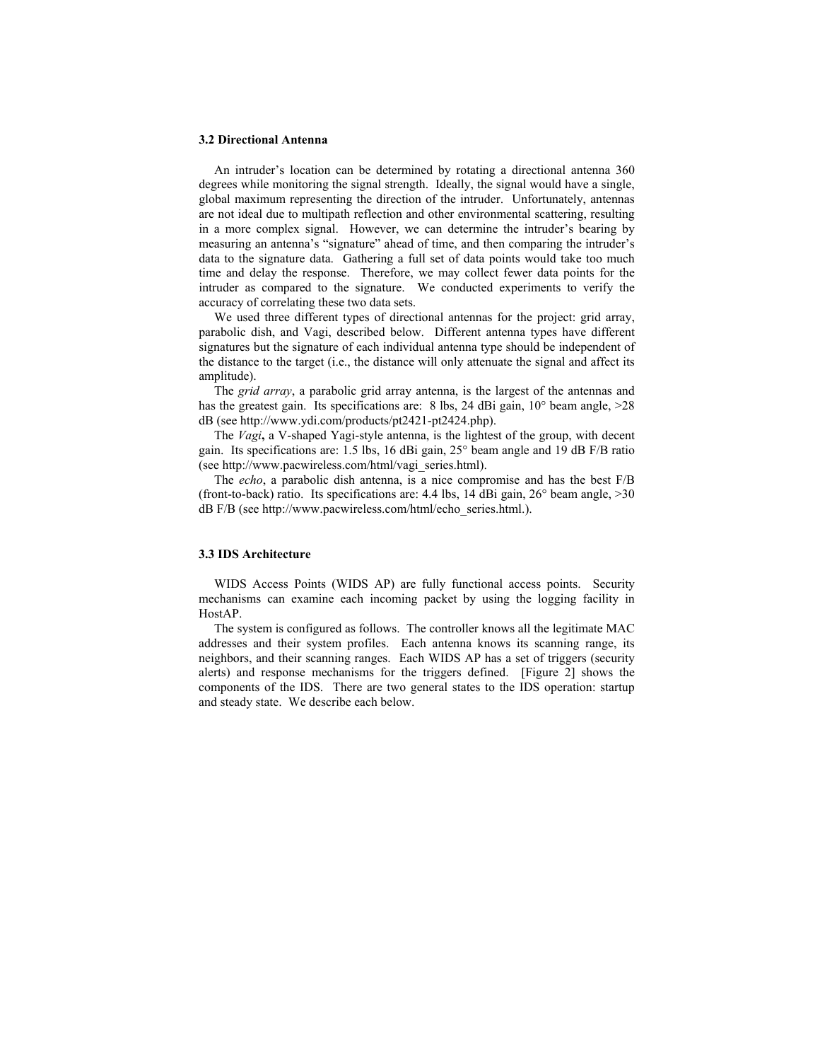#### **3.2 Directional Antenna**

An intruder's location can be determined by rotating a directional antenna 360 degrees while monitoring the signal strength. Ideally, the signal would have a single, global maximum representing the direction of the intruder. Unfortunately, antennas are not ideal due to multipath reflection and other environmental scattering, resulting in a more complex signal. However, we can determine the intruder's bearing by measuring an antenna's "signature" ahead of time, and then comparing the intruder's data to the signature data. Gathering a full set of data points would take too much time and delay the response. Therefore, we may collect fewer data points for the intruder as compared to the signature. We conducted experiments to verify the accuracy of correlating these two data sets.

We used three different types of directional antennas for the project: grid array, parabolic dish, and Vagi, described below. Different antenna types have different signatures but the signature of each individual antenna type should be independent of the distance to the target (i.e., the distance will only attenuate the signal and affect its amplitude).

The *grid array*, a parabolic grid array antenna, is the largest of the antennas and has the greatest gain. Its specifications are: 8 lbs, 24 dBi gain, 10° beam angle, >28 dB (see http://www.ydi.com/products/pt2421-pt2424.php).

The *Vagi***,** a V-shaped Yagi-style antenna, is the lightest of the group, with decent gain. Its specifications are: 1.5 lbs, 16 dBi gain, 25° beam angle and 19 dB F/B ratio (see http://www.pacwireless.com/html/vagi\_series.html).

The *echo*, a parabolic dish antenna, is a nice compromise and has the best F/B (front-to-back) ratio. Its specifications are:  $4.4$  lbs,  $14$  dBi gain,  $26^{\circ}$  beam angle,  $>30$ dB F/B (see http://www.pacwireless.com/html/echo\_series.html.).

## **3.3 IDS Architecture**

WIDS Access Points (WIDS AP) are fully functional access points. Security mechanisms can examine each incoming packet by using the logging facility in HostAP.

The system is configured as follows. The controller knows all the legitimate MAC addresses and their system profiles. Each antenna knows its scanning range, its neighbors, and their scanning ranges. Each WIDS AP has a set of triggers (security alerts) and response mechanisms for the triggers defined. [Figure 2] shows the components of the IDS. There are two general states to the IDS operation: startup and steady state. We describe each below.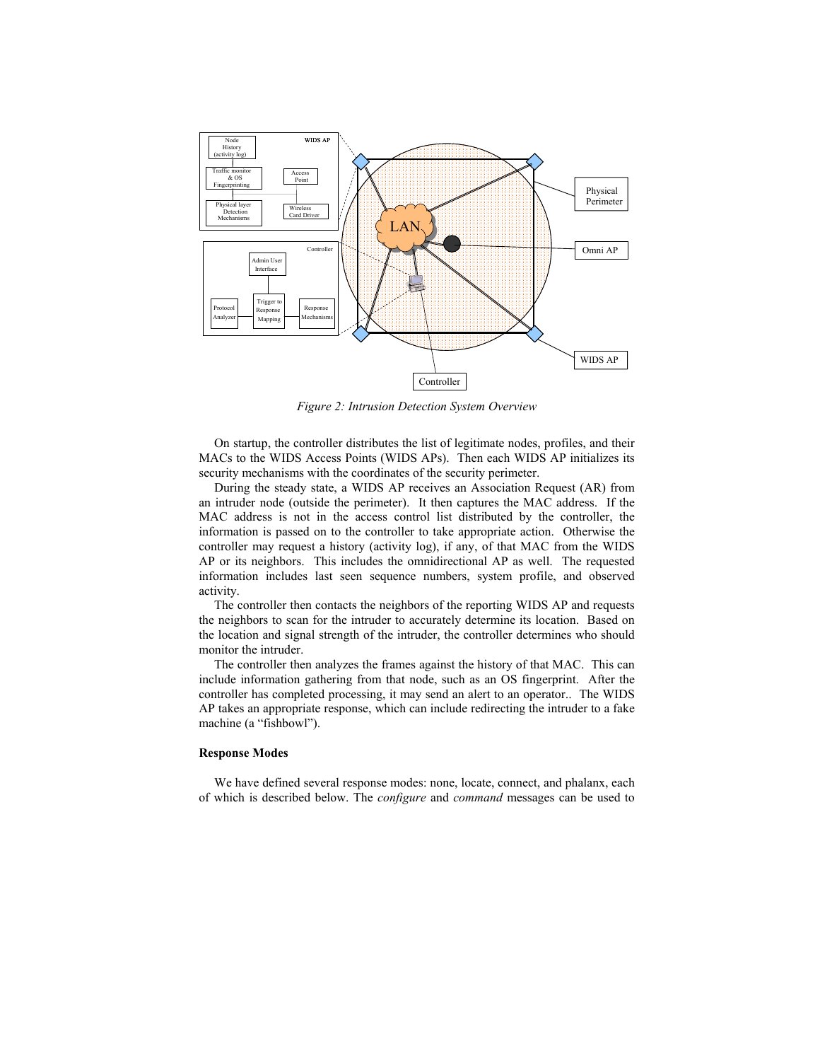

*Figure 2: Intrusion Detection System Overview* 

On startup, the controller distributes the list of legitimate nodes, profiles, and their MACs to the WIDS Access Points (WIDS APs). Then each WIDS AP initializes its security mechanisms with the coordinates of the security perimeter.

During the steady state, a WIDS AP receives an Association Request (AR) from an intruder node (outside the perimeter). It then captures the MAC address. If the MAC address is not in the access control list distributed by the controller, the information is passed on to the controller to take appropriate action. Otherwise the controller may request a history (activity log), if any, of that MAC from the WIDS AP or its neighbors. This includes the omnidirectional AP as well. The requested information includes last seen sequence numbers, system profile, and observed activity.

The controller then contacts the neighbors of the reporting WIDS AP and requests the neighbors to scan for the intruder to accurately determine its location. Based on the location and signal strength of the intruder, the controller determines who should monitor the intruder.

The controller then analyzes the frames against the history of that MAC. This can include information gathering from that node, such as an OS fingerprint. After the controller has completed processing, it may send an alert to an operator.. The WIDS AP takes an appropriate response, which can include redirecting the intruder to a fake machine (a "fishbowl").

## **Response Modes**

We have defined several response modes: none, locate, connect, and phalanx, each of which is described below. The *configure* and *command* messages can be used to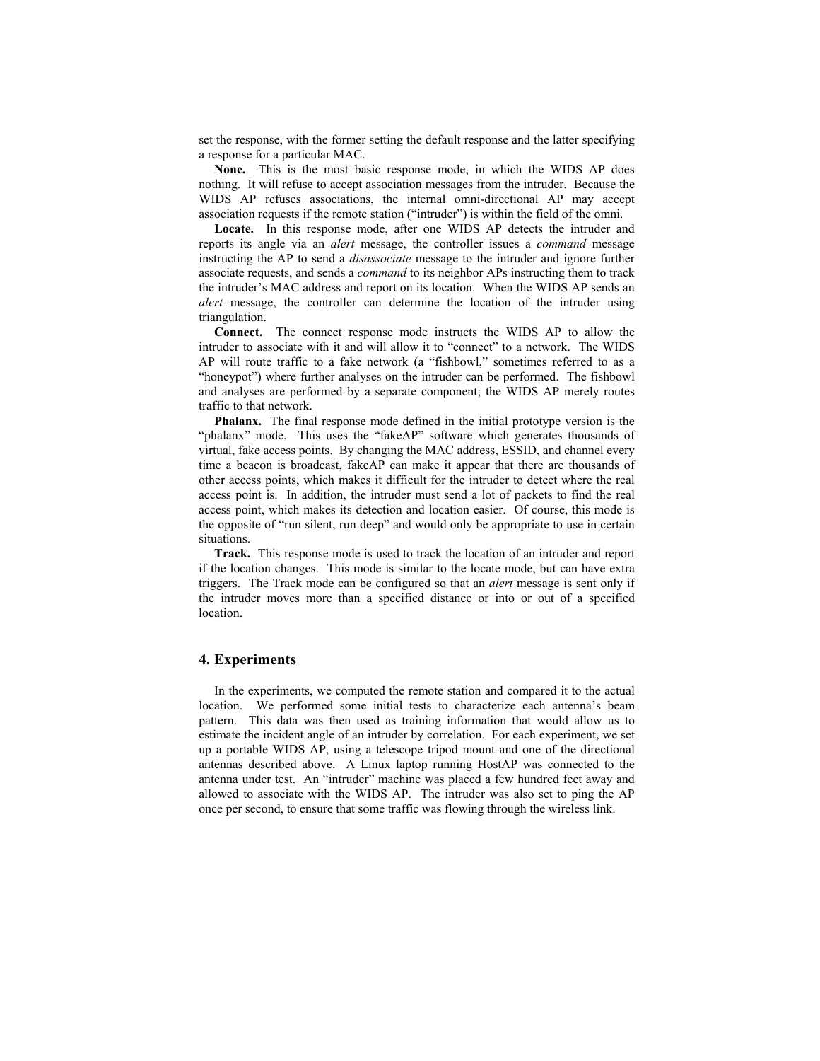set the response, with the former setting the default response and the latter specifying a response for a particular MAC.

**None.** This is the most basic response mode, in which the WIDS AP does nothing. It will refuse to accept association messages from the intruder. Because the WIDS AP refuses associations, the internal omni-directional AP may accept association requests if the remote station ("intruder") is within the field of the omni.

**Locate.** In this response mode, after one WIDS AP detects the intruder and reports its angle via an *alert* message, the controller issues a *command* message instructing the AP to send a *disassociate* message to the intruder and ignore further associate requests, and sends a *command* to its neighbor APs instructing them to track the intruder's MAC address and report on its location. When the WIDS AP sends an *alert* message, the controller can determine the location of the intruder using triangulation.

**Connect.** The connect response mode instructs the WIDS AP to allow the intruder to associate with it and will allow it to "connect" to a network. The WIDS AP will route traffic to a fake network (a "fishbowl," sometimes referred to as a "honeypot") where further analyses on the intruder can be performed. The fishbowl and analyses are performed by a separate component; the WIDS AP merely routes traffic to that network.

**Phalanx.** The final response mode defined in the initial prototype version is the "phalanx" mode. This uses the "fakeAP" software which generates thousands of virtual, fake access points. By changing the MAC address, ESSID, and channel every time a beacon is broadcast, fakeAP can make it appear that there are thousands of other access points, which makes it difficult for the intruder to detect where the real access point is. In addition, the intruder must send a lot of packets to find the real access point, which makes its detection and location easier. Of course, this mode is the opposite of "run silent, run deep" and would only be appropriate to use in certain situations.

**Track.** This response mode is used to track the location of an intruder and report if the location changes. This mode is similar to the locate mode, but can have extra triggers. The Track mode can be configured so that an *alert* message is sent only if the intruder moves more than a specified distance or into or out of a specified location.

## **4. Experiments**

In the experiments, we computed the remote station and compared it to the actual location. We performed some initial tests to characterize each antenna's beam pattern. This data was then used as training information that would allow us to estimate the incident angle of an intruder by correlation. For each experiment, we set up a portable WIDS AP, using a telescope tripod mount and one of the directional antennas described above. A Linux laptop running HostAP was connected to the antenna under test. An "intruder" machine was placed a few hundred feet away and allowed to associate with the WIDS AP. The intruder was also set to ping the AP once per second, to ensure that some traffic was flowing through the wireless link.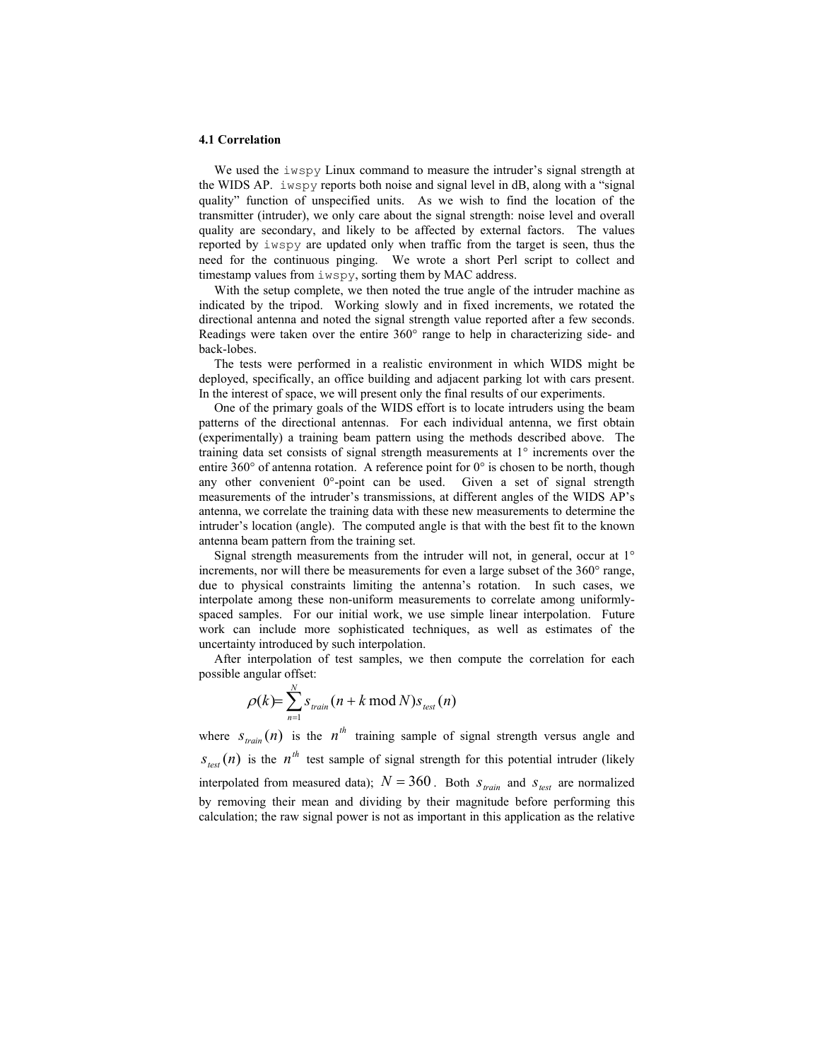### **4.1 Correlation**

We used the iwspy Linux command to measure the intruder's signal strength at the WIDS AP. iwspy reports both noise and signal level in dB, along with a "signal quality" function of unspecified units. As we wish to find the location of the transmitter (intruder), we only care about the signal strength: noise level and overall quality are secondary, and likely to be affected by external factors. The values reported by iwspy are updated only when traffic from the target is seen, thus the need for the continuous pinging. We wrote a short Perl script to collect and timestamp values from iwspy, sorting them by MAC address.

With the setup complete, we then noted the true angle of the intruder machine as indicated by the tripod. Working slowly and in fixed increments, we rotated the directional antenna and noted the signal strength value reported after a few seconds. Readings were taken over the entire 360° range to help in characterizing side- and back-lobes.

The tests were performed in a realistic environment in which WIDS might be deployed, specifically, an office building and adjacent parking lot with cars present. In the interest of space, we will present only the final results of our experiments.

One of the primary goals of the WIDS effort is to locate intruders using the beam patterns of the directional antennas. For each individual antenna, we first obtain (experimentally) a training beam pattern using the methods described above. The training data set consists of signal strength measurements at 1° increments over the entire 360 $^{\circ}$  of antenna rotation. A reference point for 0 $^{\circ}$  is chosen to be north, though any other convenient 0°-point can be used. Given a set of signal strength measurements of the intruder's transmissions, at different angles of the WIDS AP's antenna, we correlate the training data with these new measurements to determine the intruder's location (angle). The computed angle is that with the best fit to the known antenna beam pattern from the training set.

Signal strength measurements from the intruder will not, in general, occur at 1° increments, nor will there be measurements for even a large subset of the 360° range, due to physical constraints limiting the antenna's rotation. In such cases, we interpolate among these non-uniform measurements to correlate among uniformlyspaced samples. For our initial work, we use simple linear interpolation. Future work can include more sophisticated techniques, as well as estimates of the uncertainty introduced by such interpolation.

After interpolation of test samples, we then compute the correlation for each possible angular offset:

$$
\rho(k) = \sum_{n=1}^{N} s_{\text{train}}(n + k \mod N) s_{\text{test}}(n)
$$

where  $S_{train}(n)$  is the  $n^{th}$  training sample of signal strength versus angle and  $s_{\text{test}}(n)$  is the  $n^{th}$  test sample of signal strength for this potential intruder (likely interpolated from measured data);  $N = 360$ . Both  $S_{train}$  and  $S_{test}$  are normalized by removing their mean and dividing by their magnitude before performing this calculation; the raw signal power is not as important in this application as the relative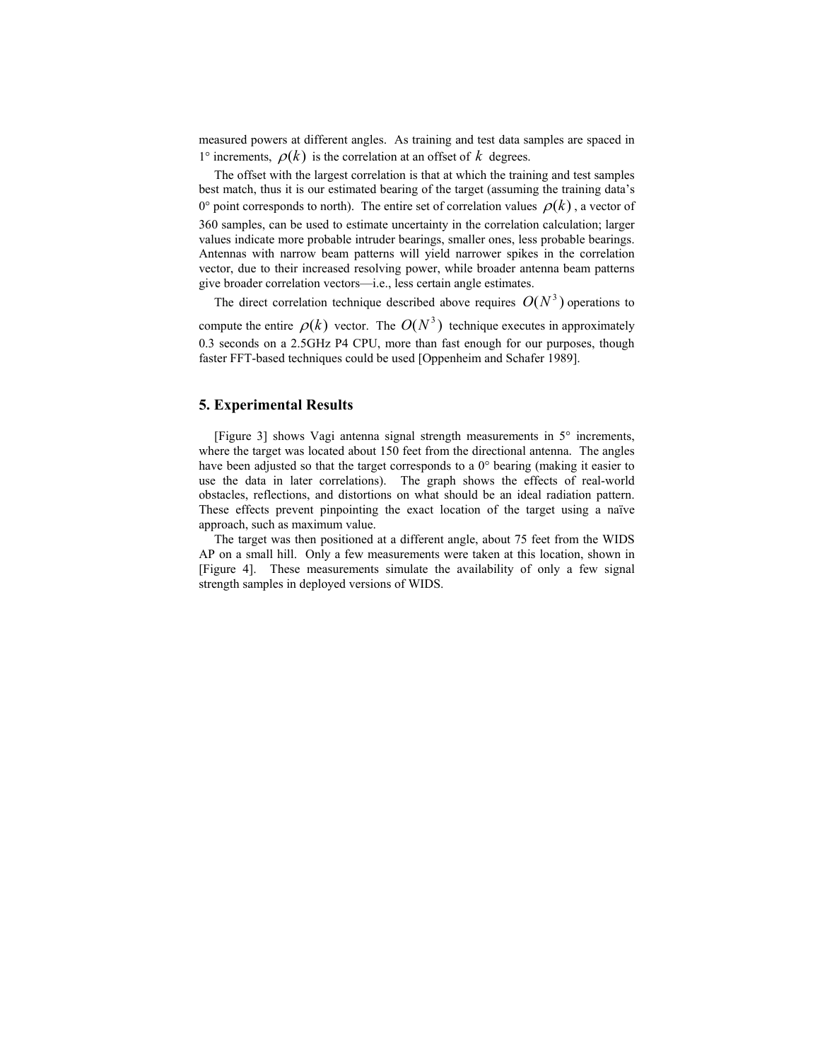measured powers at different angles. As training and test data samples are spaced in 1° increments,  $\rho(k)$  is the correlation at an offset of k degrees.

The offset with the largest correlation is that at which the training and test samples best match, thus it is our estimated bearing of the target (assuming the training data's 0° point corresponds to north). The entire set of correlation values  $\rho(k)$ , a vector of 360 samples, can be used to estimate uncertainty in the correlation calculation; larger values indicate more probable intruder bearings, smaller ones, less probable bearings. Antennas with narrow beam patterns will yield narrower spikes in the correlation vector, due to their increased resolving power, while broader antenna beam patterns give broader correlation vectors—i.e., less certain angle estimates.

The direct correlation technique described above requires  $O(N^3)$  operations to compute the entire  $\rho(k)$  vector. The  $O(N^3)$  technique executes in approximately 0.3 seconds on a 2.5GHz P4 CPU, more than fast enough for our purposes, though faster FFT-based techniques could be used [Oppenheim and Schafer 1989].

# **5. Experimental Results**

[Figure 3] shows Vagi antenna signal strength measurements in 5° increments, where the target was located about 150 feet from the directional antenna. The angles have been adjusted so that the target corresponds to a 0° bearing (making it easier to use the data in later correlations). The graph shows the effects of real-world obstacles, reflections, and distortions on what should be an ideal radiation pattern. These effects prevent pinpointing the exact location of the target using a naïve approach, such as maximum value.

The target was then positioned at a different angle, about 75 feet from the WIDS AP on a small hill. Only a few measurements were taken at this location, shown in [Figure 4]. These measurements simulate the availability of only a few signal strength samples in deployed versions of WIDS.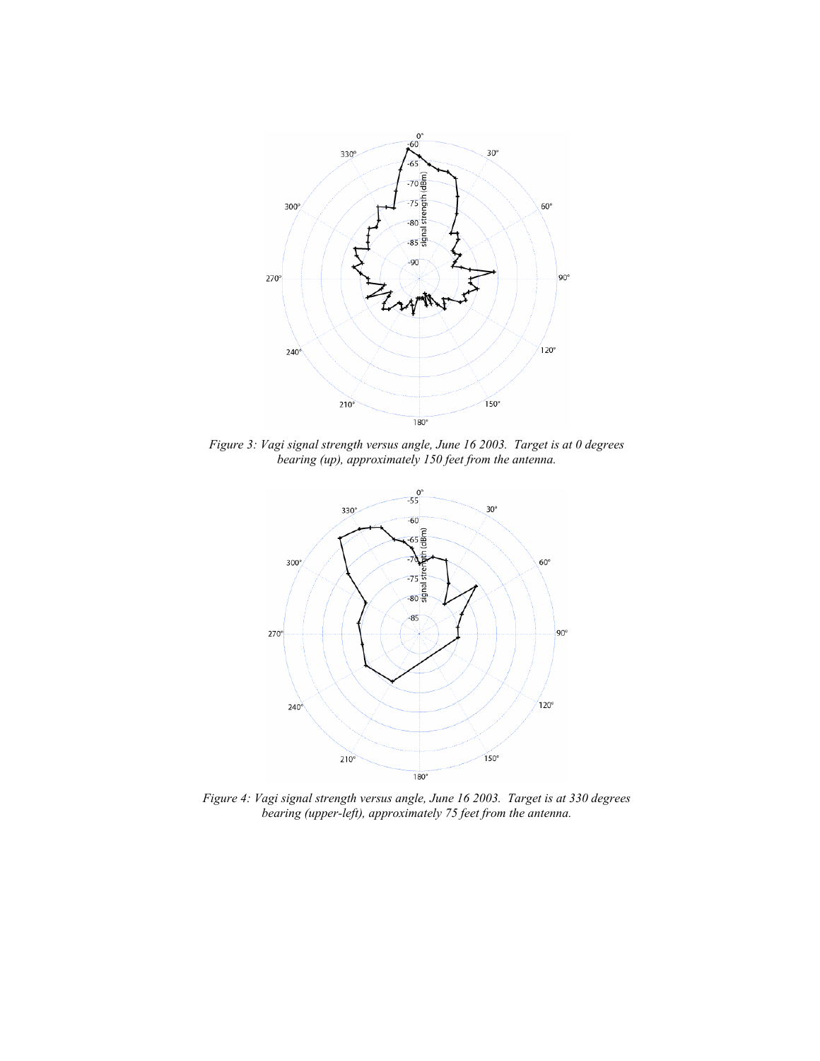

*Figure 3: Vagi signal strength versus angle, June 16 2003. Target is at 0 degrees bearing (up), approximately 150 feet from the antenna.* 



*Figure 4: Vagi signal strength versus angle, June 16 2003. Target is at 330 degrees bearing (upper-left), approximately 75 feet from the antenna.*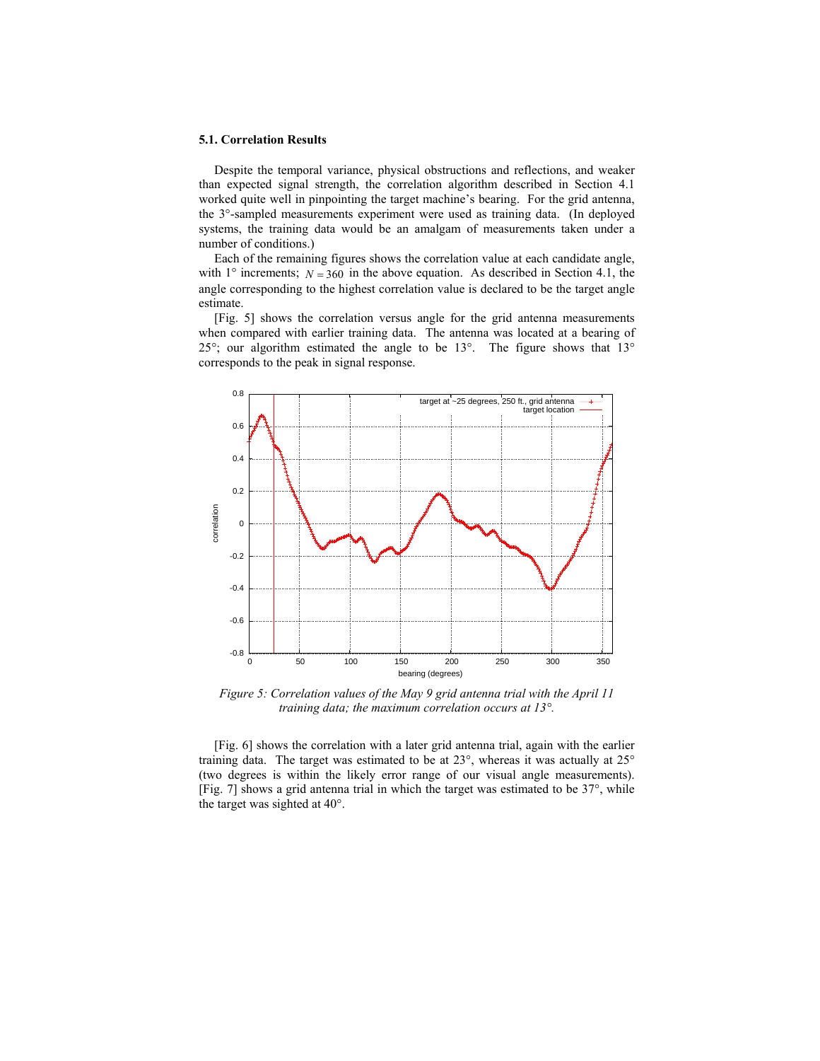#### **5.1. Correlation Results**

Despite the temporal variance, physical obstructions and reflections, and weaker than expected signal strength, the correlation algorithm described in Section 4.1 worked quite well in pinpointing the target machine's bearing. For the grid antenna, the 3°-sampled measurements experiment were used as training data. (In deployed systems, the training data would be an amalgam of measurements taken under a number of conditions.)

Each of the remaining figures shows the correlation value at each candidate angle, with  $1^\circ$  increments;  $N = 360$  in the above equation. As described in Section 4.1, the angle corresponding to the highest correlation value is declared to be the target angle estimate.

[Fig. 5] shows the correlation versus angle for the grid antenna measurements when compared with earlier training data. The antenna was located at a bearing of 25°; our algorithm estimated the angle to be 13°. The figure shows that 13° corresponds to the peak in signal response.



*Figure 5: Correlation values of the May 9 grid antenna trial with the April 11 training data; the maximum correlation occurs at 13°.* 

[Fig. 6] shows the correlation with a later grid antenna trial, again with the earlier training data. The target was estimated to be at 23°, whereas it was actually at 25° (two degrees is within the likely error range of our visual angle measurements). [Fig. 7] shows a grid antenna trial in which the target was estimated to be 37°, while the target was sighted at 40°.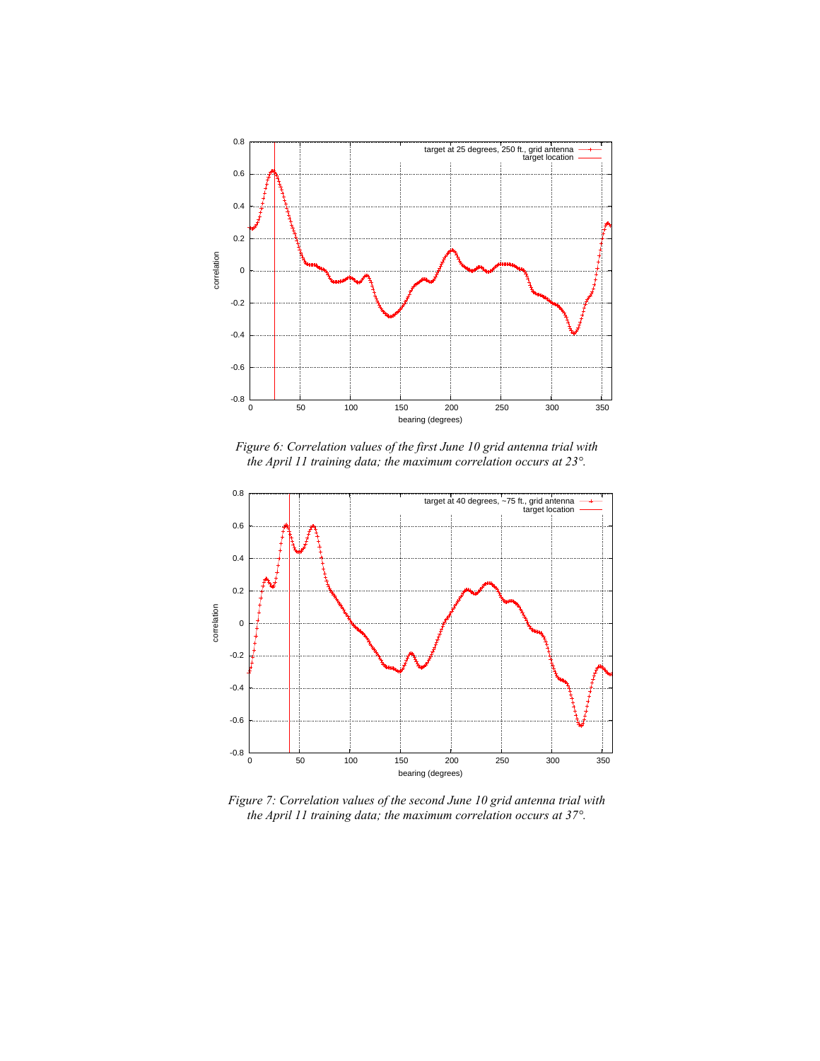

*Figure 6: Correlation values of the first June 10 grid antenna trial with the April 11 training data; the maximum correlation occurs at 23°.* 



*Figure 7: Correlation values of the second June 10 grid antenna trial with the April 11 training data; the maximum correlation occurs at 37°.*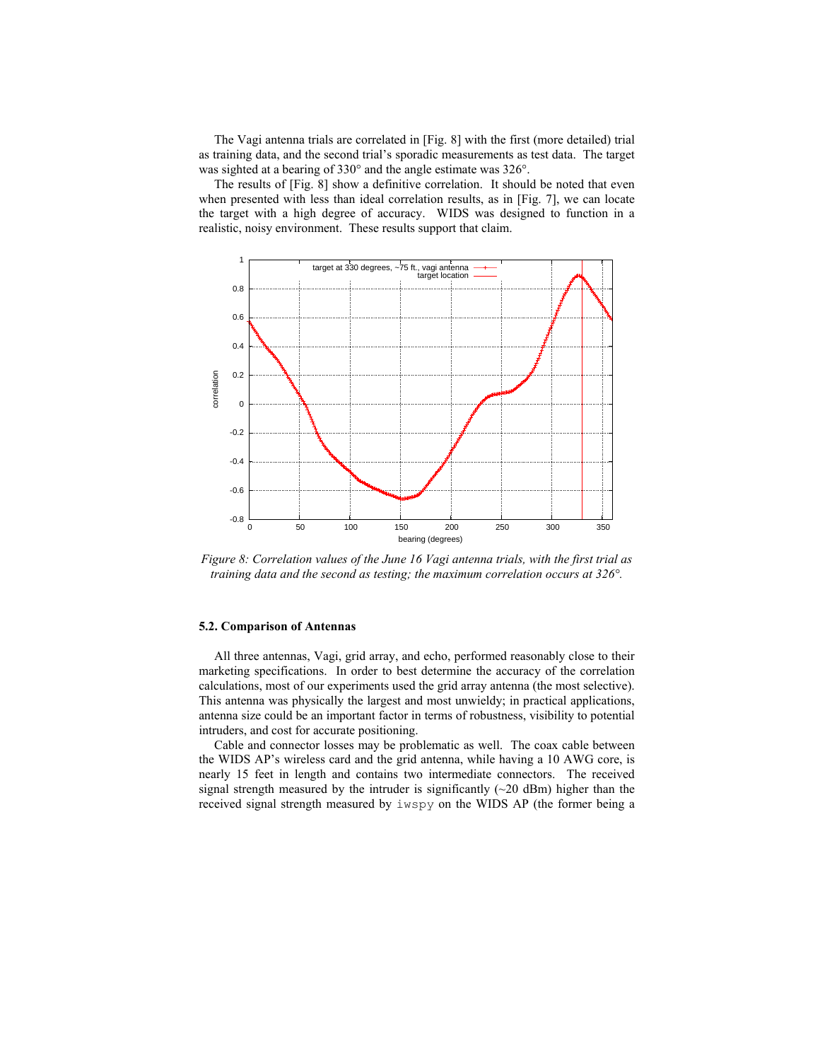The Vagi antenna trials are correlated in [Fig. 8] with the first (more detailed) trial as training data, and the second trial's sporadic measurements as test data. The target was sighted at a bearing of 330° and the angle estimate was 326°.

The results of [Fig. 8] show a definitive correlation. It should be noted that even when presented with less than ideal correlation results, as in [Fig. 7], we can locate the target with a high degree of accuracy. WIDS was designed to function in a realistic, noisy environment. These results support that claim.



*Figure 8: Correlation values of the June 16 Vagi antenna trials, with the first trial as training data and the second as testing; the maximum correlation occurs at 326°.* 

### **5.2. Comparison of Antennas**

All three antennas, Vagi, grid array, and echo, performed reasonably close to their marketing specifications. In order to best determine the accuracy of the correlation calculations, most of our experiments used the grid array antenna (the most selective). This antenna was physically the largest and most unwieldy; in practical applications, antenna size could be an important factor in terms of robustness, visibility to potential intruders, and cost for accurate positioning.

Cable and connector losses may be problematic as well. The coax cable between the WIDS AP's wireless card and the grid antenna, while having a 10 AWG core, is nearly 15 feet in length and contains two intermediate connectors. The received signal strength measured by the intruder is significantly  $(\sim 20 \text{ dBm})$  higher than the received signal strength measured by iwspy on the WIDS AP (the former being a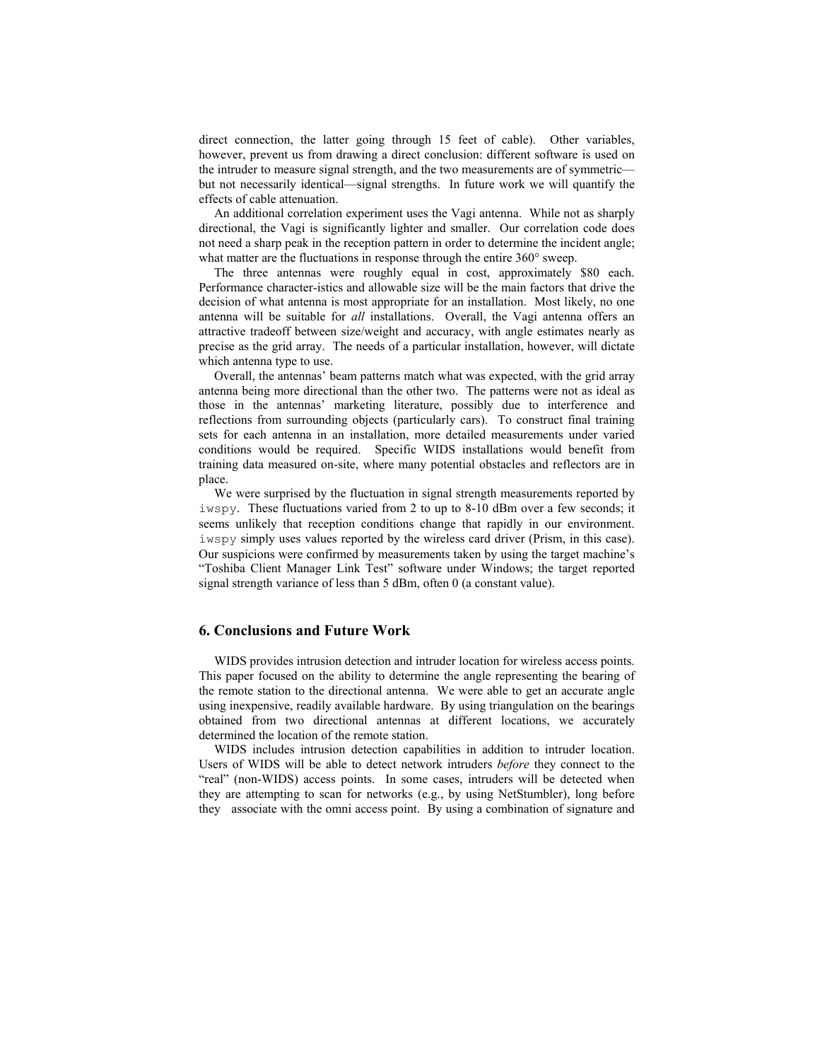direct connection, the latter going through 15 feet of cable). Other variables, however, prevent us from drawing a direct conclusion: different software is used on the intruder to measure signal strength, and the two measurements are of symmetric but not necessarily identical—signal strengths. In future work we will quantify the effects of cable attenuation.

An additional correlation experiment uses the Vagi antenna. While not as sharply directional, the Vagi is significantly lighter and smaller. Our correlation code does not need a sharp peak in the reception pattern in order to determine the incident angle; what matter are the fluctuations in response through the entire 360° sweep.

The three antennas were roughly equal in cost, approximately \$80 each. Performance character-istics and allowable size will be the main factors that drive the decision of what antenna is most appropriate for an installation. Most likely, no one antenna will be suitable for *all* installations. Overall, the Vagi antenna offers an attractive tradeoff between size/weight and accuracy, with angle estimates nearly as precise as the grid array. The needs of a particular installation, however, will dictate which antenna type to use.

Overall, the antennas' beam patterns match what was expected, with the grid array antenna being more directional than the other two. The patterns were not as ideal as those in the antennas' marketing literature, possibly due to interference and reflections from surrounding objects (particularly cars). To construct final training sets for each antenna in an installation, more detailed measurements under varied conditions would be required. Specific WIDS installations would benefit from training data measured on-site, where many potential obstacles and reflectors are in place.

We were surprised by the fluctuation in signal strength measurements reported by iwspy. These fluctuations varied from 2 to up to 8-10 dBm over a few seconds; it seems unlikely that reception conditions change that rapidly in our environment. iwspy simply uses values reported by the wireless card driver (Prism, in this case). Our suspicions were confirmed by measurements taken by using the target machine's "Toshiba Client Manager Link Test" software under Windows; the target reported signal strength variance of less than 5 dBm, often 0 (a constant value).

## **6. Conclusions and Future Work**

WIDS provides intrusion detection and intruder location for wireless access points. This paper focused on the ability to determine the angle representing the bearing of the remote station to the directional antenna. We were able to get an accurate angle using inexpensive, readily available hardware. By using triangulation on the bearings obtained from two directional antennas at different locations, we accurately determined the location of the remote station.

WIDS includes intrusion detection capabilities in addition to intruder location. Users of WIDS will be able to detect network intruders *before* they connect to the "real" (non-WIDS) access points. In some cases, intruders will be detected when they are attempting to scan for networks (e.g., by using NetStumbler), long before they associate with the omni access point. By using a combination of signature and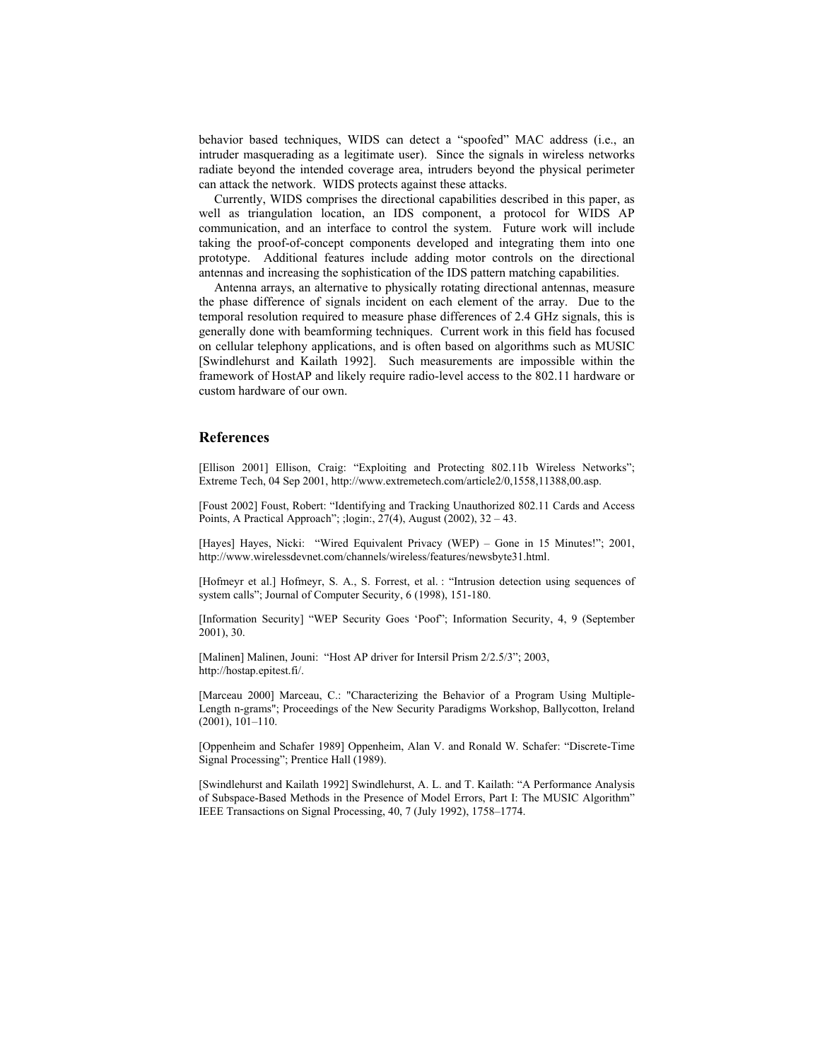behavior based techniques, WIDS can detect a "spoofed" MAC address (i.e., an intruder masquerading as a legitimate user). Since the signals in wireless networks radiate beyond the intended coverage area, intruders beyond the physical perimeter can attack the network. WIDS protects against these attacks.

Currently, WIDS comprises the directional capabilities described in this paper, as well as triangulation location, an IDS component, a protocol for WIDS AP communication, and an interface to control the system. Future work will include taking the proof-of-concept components developed and integrating them into one prototype. Additional features include adding motor controls on the directional antennas and increasing the sophistication of the IDS pattern matching capabilities.

Antenna arrays, an alternative to physically rotating directional antennas, measure the phase difference of signals incident on each element of the array. Due to the temporal resolution required to measure phase differences of 2.4 GHz signals, this is generally done with beamforming techniques. Current work in this field has focused on cellular telephony applications, and is often based on algorithms such as MUSIC [Swindlehurst and Kailath 1992]. Such measurements are impossible within the framework of HostAP and likely require radio-level access to the 802.11 hardware or custom hardware of our own.

#### **References**

[Ellison 2001] Ellison, Craig: "Exploiting and Protecting 802.11b Wireless Networks"; Extreme Tech, 04 Sep 2001, http://www.extremetech.com/article2/0,1558,11388,00.asp.

[Foust 2002] Foust, Robert: "Identifying and Tracking Unauthorized 802.11 Cards and Access Points, A Practical Approach"; ;login:, 27(4), August (2002), 32 – 43.

[Hayes] Hayes, Nicki: "Wired Equivalent Privacy (WEP) – Gone in 15 Minutes!"; 2001, http://www.wirelessdevnet.com/channels/wireless/features/newsbyte31.html.

[Hofmeyr et al.] Hofmeyr, S. A., S. Forrest, et al. : "Intrusion detection using sequences of system calls"; Journal of Computer Security, 6 (1998), 151-180.

[Information Security] "WEP Security Goes 'Poof"; Information Security, 4, 9 (September 2001), 30.

[Malinen] Malinen, Jouni: "Host AP driver for Intersil Prism 2/2.5/3"; 2003, http://hostap.epitest.fi/.

[Marceau 2000] Marceau, C.: "Characterizing the Behavior of a Program Using Multiple-Length n-grams"; Proceedings of the New Security Paradigms Workshop, Ballycotton, Ireland (2001), 101–110.

[Oppenheim and Schafer 1989] Oppenheim, Alan V. and Ronald W. Schafer: "Discrete-Time Signal Processing"; Prentice Hall (1989).

[Swindlehurst and Kailath 1992] Swindlehurst, A. L. and T. Kailath: "A Performance Analysis of Subspace-Based Methods in the Presence of Model Errors, Part I: The MUSIC Algorithm" IEEE Transactions on Signal Processing, 40, 7 (July 1992), 1758–1774.